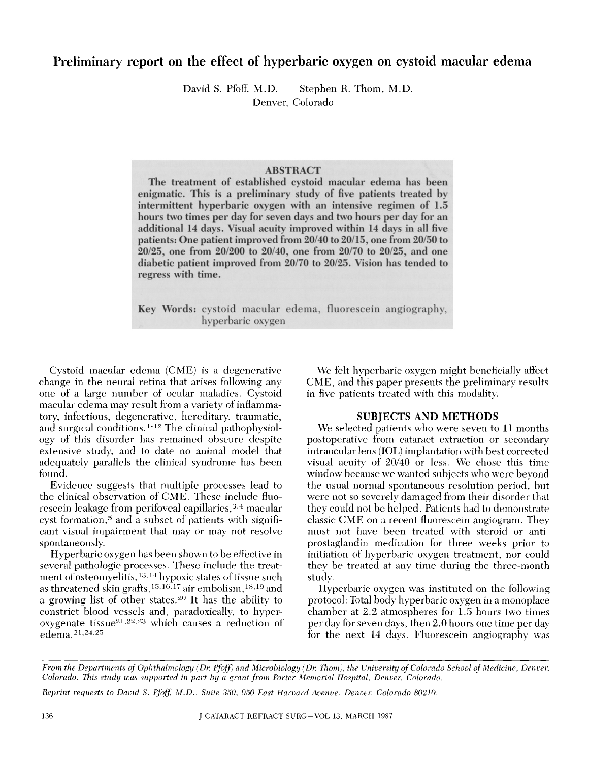# Preliminary report on the effect of hyperbaric oxygen on cystoid macular edema

David S. Pfoff, M.D. Stephen R. Thom, M.D. Denver, Colorado

# **ABSTRACT**

The treatment of established cystoid macular edema has been enigmatic. This is a preliminary study of five patients treated by intermittent hyperbaric oxygen with an intensive regimen of 1.5 hours two times per day for seven days and two hours per day for an additional 14 days. Visual acuity improved within 14 days in all five patients: One patient improved from  $20/40$  to  $20/15$ , one from  $20/50$  to *20/25* one from *20/200* to *20/40* one from 20170 to 20/25 and one diabetic patient improved from 20/70 to 20/25. Vision has tended to regress with time.

Key Words: cystoid macular edema, fluorescein angiography, hyperbaric oxygen

Cystoid macular edema (CME) is a degenerative change in the neural retina that arises following any one of a large number of ocular maladies. Cystoid macular edema may result from a variety of inflammatory, infectious, degenerative, hereditary, traumatic, and surgical conditions. 1-12 The clinical pathophysiology of this disorder has remained obscure despite extensive study, and to date no animal model that adequately parallels the clinical syndrome has been found.

Evidence suggests that multiple processes lead to the clinical observation of CME. These include fluorescein leakage from perifoveal capillaries,<sup>3,4</sup> macular cyst formation,<sup>5</sup> and a subset of patients with significant visual impairment that may or may not resolve spontaneously.

Hyperbaric oxygen has been shown to be effective in several pathologic processes. These include the treatment of osteomyelitis, <sup>13, 14</sup> hypoxic states of tissue such as threatened skin grafts,  $15,16,17$  air embolism,  $18,19$  and a growing list of other states.<sup>20</sup> It has the ability to constrict blood vessels and, paradoxically, to hyperoxygenate tissue $2^{1,22,23}$  which causes a reduction of edema.<sup>21,24,25</sup>

We felt hyperbaric oxygen might beneficially affect CME, and this paper presents the preliminary results in five patients treated with this modality.

#### SUBJECTS AND METHODS

We selected patients who were seven to 11 months postoperative from cataract extraction or secondary intraocular lens (IOL) implantation with best corrected visual acuity of *20/40* or less. We chose this time window because we wanted subjects who were beyond the usual normal spontaneous resolution period, but were not so severely damaged from their disorder that they could not be helped. Patients had to demonstrate classic CME on a recent fluorescein angiogram. They must not have been treated with steroid or antiprostaglandin medication for three weeks prior to initiation of hyperbaric oxygen treatment, nor could they be treated at any time during the three-month study.

Hyperbaric oxygen was instituted on the following protocol: Total body hyperbaric oxygen in a monoplace chamber at 2.2 atmospheres for 1.5 hours two times per day for seven days, then 2.0 hours one time per day for the next 14 days. Fluorescein angiography was

*From the Departments of Ophthalmology (Dr. Pfoff) and Microbiology (Dr. Thom), the University of Colorado School of Medicine, Denver, Colorado. This study was supported in part by a grant from Porter Memorial Hospital, Denver, Colorado.* 

*Reprint requests to David* S. *Pfaff, l',1.D .. Suite* 3.5(), *9.50 East Harvard Avellue, Denver, Colorado 80210.*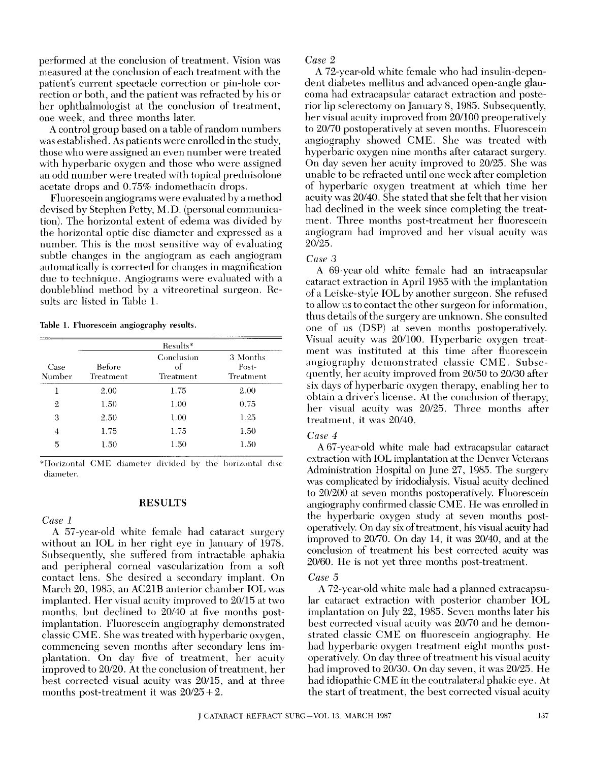performed at the conclusion of treatment. Vision was measured at the conclusion of each treatment with the patient's current spectacle correction or pin-hole correction or both, and the patient was refracted by his or her ophthalmologist at the conclusion of treatment, one week, and three months later.

A control group based on a table of random numbers was established. As patients were enrolled in the study, those who were assigned an even number were treated with hyperbaric oxygen and those who were assigned an odd number were treated with topical prednisolone acetate drops and 0.75% indomethacin drops.

Fluorescein angiograms were evaluated by a method devised by Stephen Petty, M. D. (personal communication). The horizontal extent of edema was divided by the horizontal optic disc diameter and expressed as a number. This is the most sensitive way of evaluating subtle changes in the angiogram as each angiogram automatically is corrected for changes in magnification due to technique. Angiograms were evaluated with a doubleblind method by a vitreoretinal surgeon. Results are listed in Table 1.

Table 1. Fluorescein angiography results.

| Case<br>Number | Results*            |                               |                                |
|----------------|---------------------|-------------------------------|--------------------------------|
|                | Before<br>Treatment | Conclusion<br>of<br>Treatment | 3 Months<br>Post-<br>Treatment |
|                | 2.00                | 1.75                          | 2.00                           |
| $\overline{2}$ | 1.50                | 1.00                          | 0.75                           |
| 3              | 2.50                | 1.00                          | 1.25                           |
| 4              | 1.75                | 1.75                          | 1.50                           |
| 5              | 1.50                | 1.50                          | 1.50                           |

\*Horizontal CME diameter divided by the horizontal disc diameter.

#### **RESULTS**

#### *Case 1*

A 57-year-old white female had cataract surgery without an **IOL** in her right eye in January of 1978. Subsequently, she suffered from intractable aphakia and peripheral corneal vascularization from a soft contact lens. She desired a secondary implant. On March 20, 1985, an AC21B anterior chamber **IOL** was implanted. Her visual acuity improved to 20/15 at two months, but declined to *20/40* at five months postimplantation. Fluorescein angiography demonstrated classic CME. She was treated with hyperbaric oxygen, commencing seven months after secondary lens implantation. On day five of treatment, her acuity improved to 20/20. At the conclusion of treatment, her best corrected visual acuity was *20/15,* and at three months post-treatment it was *20/25* + 2.

#### *Case 2*

A 72-year-old white female who had insulin-dependent diabetes mellitus and advanced open-angle glaucoma had extracapsular cataract extraction and posterior lip sclerectomy on January 8, 1985. Subsequently, her visual acuity improved from *20/100* preoperatively to *20170* postoperatively at seven months. Fluorescein angiography showed CME. She was treated with hyperbaric oxygen nine months after cataract surgery. On day seven her acuity improved to *20/25.* She was unable to be refracted until one week after completion of hyperbaric oxygen treatment at which time her acuity was *20/40.* She stated that she felt that her vision had declined in the week since completing the treatment. Three months post-treatment her fluorescein angiogram had improved and her visual acuity was *20/25.* 

#### *Case .3*

A 69-year-old white female had an intracapsular cataract extraction in April 1985 with the implantation of a Leiske-style **IOL** by another surgeon. She refused to allow us to contact the other surgeon for information, thus details of the surgery are unknown. She consulted one of us (DSP) at seven months postoperatively. Visual acuity was 20/100. Hyperbaric oxygen treatment was instituted at this time after fluorescein angiography demonstrated classic CME. Subsequently, her acuity improved from *201,50* to *20/30* after six days of hyperbaric oxygen therapy, enabling her to obtain a driver's license. At the conclusion of therapy, her visual acuity was *20/25.* Three months after treatment, it was *20/40.* 

#### *Case 4*

A 67-year-old white male had extracapsular cataract extraction with **IOL** implantation at the Denver Veterans Administration Hospital on June 27, 1985. The surgery was complicated by iridodialysis. Visual acuity declined to *20/200* at seven months postoperatively. Fluorescein angiography confirmed classic CME. He was enrolled in the hyperbaric oxygen study at seven months postoperatively. On day six of treatment, his visual acuity had improved to 20/70. On day 14, it was 20/40, and at the conclusion of treatment his best corrected acuity was *20/60.* He is not yet three months post-treatment.

#### *Case .5*

A 72-year-old white male had a planned extracapsular cataract extraction with posterior chamber **IOL**  implantation on July 22, 1985. Seven months later his best corrected visual acuity was *20170* and he demonstrated classic CME on fluorescein angiography. He had hyperbaric oxygen treatment eight months postoperatively. On day three of treatment his visual acuity had improved to *20/30.* On day seven, it was *20/25.* He had idiopathic CME in the contralateral phakic eye. At the start of treatment, the best corrected visual acuity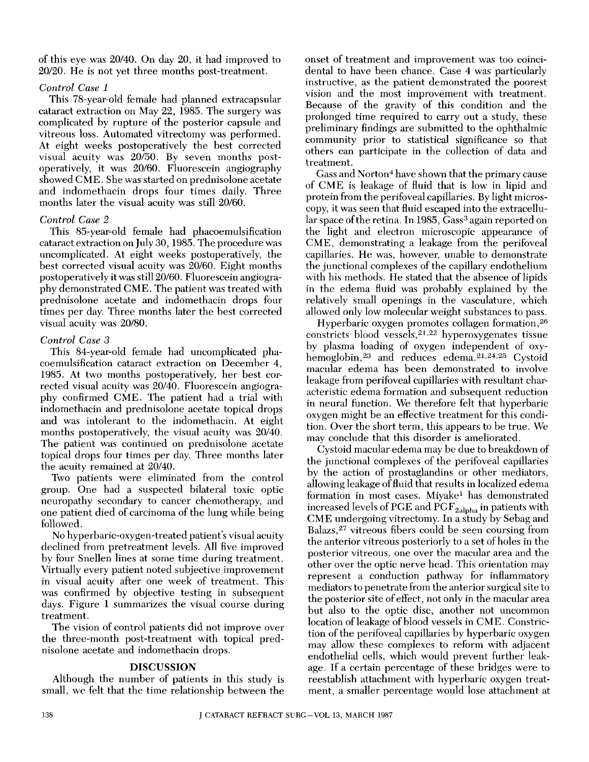of this eye was *20/40.* On day 20, it had improved to *20/20.* He is not yet three months post-treatment.

### *Control Case 1*

This 78-year-old female had planned extracapsular cataract extraction on May 22, 1985. The surgery was complicated by rupture of the posterior capsule and vitreous loss. Automated vitrectomy was performed. At eight weeks postoperatively the best corrected visual acuity was *20/50.* By seven months postoperatively, it was *20/60.* Fluorescein angiography showed CME. She was started on prednisolone acetate and indomethacin drops four times daily. Three months later the visual acuity was still *20/60.* 

# *Control Case 2*

This 85-year-old female had phacoemulsification cataract extraction on July 30, 1985. The procedure was uncomplicated. At eight weeks postoperatively, the best corrected visual acuity was *20/60.* Eight months postoperatively it was still *20/60.* Fluorescein angiography demonstrated CME. The patient was treated with prednisolone acetate and indomethacin drops four times per day. Three months later the best corrected visual acuity was *20/80.* 

# *Control Case 3*

This 84-year-old female had uncomplicated phacoemulsification cataract extraction on December 4, 1985. At two months postoperatively, her best corrected visual acuity was *20/40.* Fluorescein angiography confirmed CME. The patient had a trial with indomethacin and prednisolone acetate topical drops and was intolerant to the indomethacin. At eight months postoperatively, the visual acuity was *20/40.*  The patient was continued on prednisolone acetate topical drops four times per day. Three months later the acuity remained at *20/40.* 

Two patients were eliminated from the control group. One had a suspected bilateral toxic optic neuropathy secondary to cancer chemotherapy, and one patient died of carcinoma of the lung while being followed.

No hyperbaric-oxygen-treated patient's visual acuity declined from pretreatment levels. All five improved by four Snellen lines at some time during treatment. Virtually every patient noted subjective improvement in visual acuity after one week of treatment. This was confirmed by objective testing in subsequent days. Figure 1 summarizes the visual course during treatment.

The vision of control patients did not improve over the three-month post-treatment with topical prednisolone acetate and indomethacin drops.

### DISCUSSION

Although the number of patients in this study is small, we felt that the time relationship between the

onset of treatment and improvement was too coincidental to have been chance. Case 4 was particularly instructive, as the patient demonstrated the poorest vision and the most improvement with treatment. Because of the gravity of this condition and the prolonged time required to carry out a study, these preliminary findings are submitted to the ophthalmic community prior to statistical significance so that others can participate in the collection of data and treatment.

Gass and Norton<sup>4</sup> have shown that the primary cause of CME is leakage of fluid that is low in lipid and protein from the perifoveal capillaries. By light microscopy, it was seen that fluid escaped into the extracellular space of the retina. In 1985, Gass<sup>3</sup> again reported on the light and electron microscopic appearance of CME, demonstrating a leakage from the perifoveal capillaries. He was, however, unable to demonstrate the junctional complexes of the capillary endothelium with his methods. He stated that the absence of lipids in the edema fluid was probably explained by the relatively small openings in the vasculature, which allowed only low molecular weight substances to pass.

Hyperbaric oxygen promotes collagen formation,26 constricts blood vessels,21,22 hyperoxygenates tissue by plasma loading of oxygen independent of oxyhemoglobin,<sup>23</sup> and reduces edema.<sup>21,24,25</sup> Cystoid macular edema has been demonstrated to involve leakage from perifoveal capillaries with resultant characteristic edema formation and subsequent reduction in neural function. We therefore felt that hyperbaric oxygen might be an effective treatment for this condition. Over the short term, this appears to be true. We may conclude that this disorder is ameliorated.

Cystoid macular edema may be due to breakdown of the junctional complexes of the perifoveal capillaries by the action of prostaglandins or other mediators, allowing leakage of fluid that results in localized edema formation in most cases. Miyake1 has demonstrated increased levels of PGE and  $\mathrm{PGF}_{\mathrm{2alpha}}$  in patients with CME undergoing vitrectomy. In a study by Sebag and Balazs,27 vitreous fibers could be seen coursing from the anterior vitreous posteriorly to a set of holes in the posterior vitreous, one over the macular area and the other over the optic nerve head. This orientation may represent a conduction pathway for inflammatory mediators to penetrate from the anterior surgical site to the posterior site of effect, not only in the macular area but also to the optic disc, another not uncommon location of leakage of blood vessels in CME. Constriction of the perifoveal capillaries by hyperbaric oxygen may allow these complexes to reform with adjacent endothelial cells, which would prevent further leakage. If a certain percentage of these bridges were to reestablish attachment with hyperbaric oxygen treatment, a smaller percentage would lose attachment at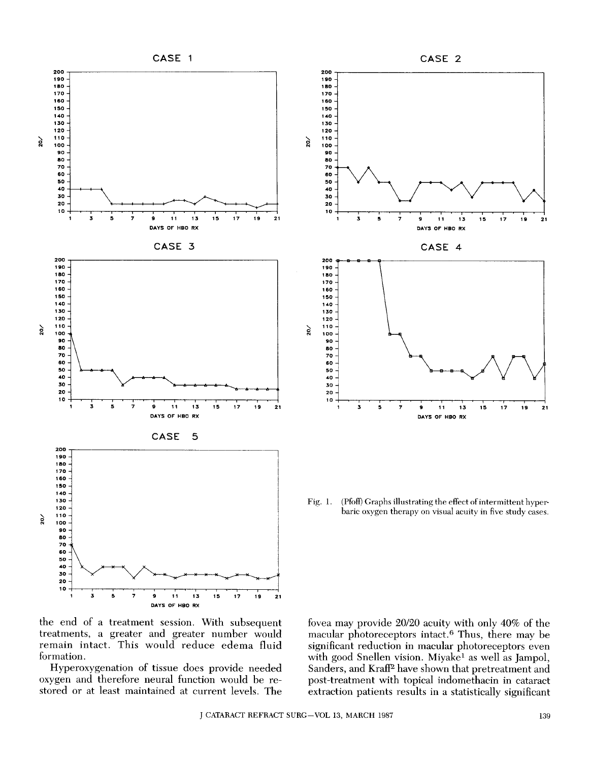



Fig. 1. (Pfoff) Graphs illustrating the effect of intermittent hyperbaric oxygen therapy on visual acuity in five study cases.

the end of a treatment session. With subsequent treatments, a greater and greater number would remain intact. This would reduce edema fluid formation.

Hyperoxygenation of tissue does provide needed oxygen and therefore neural function would be restored or at least maintained at current levels. The fovea may provide *20/20* acuity with only 40% of the macular photoreceptors intact.<sup>6</sup> Thus, there may be significant reduction in macular photoreceptors even with good Snellen vision. Miyake<sup>1</sup> as well as Jampol, Sanders, and Kraff<sup>2</sup> have shown that pretreatment and post-treatment with topical indomethacin in cataract extraction patients results in a statistically significant